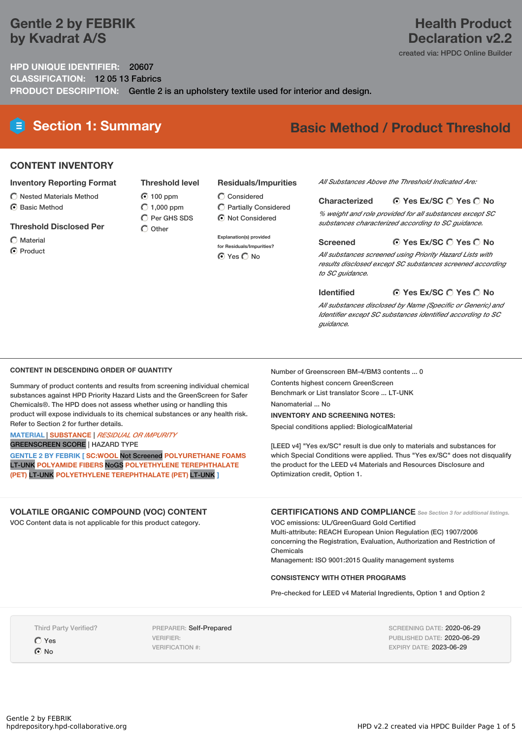## **Gentle 2 by FEBRIK by Kvadrat A/S**

## **Health Product Declaration v2.2**

created via: HPDC Online Builder

**HPD UNIQUE IDENTIFIER:** 20607 **CLASSIFICATION:** 12 05 13 Fabrics **PRODUCT DESCRIPTION:** Gentle 2 is an upholstery textile used for interior and design.

> **100 ppm**  $O$  1,000 ppm  $\overline{O}$  Per GHS SDS  $\bigcap$  Other

## **Section 1: Summary Basic Method / Product Threshold**

#### **CONTENT INVENTORY**

#### **Inventory Reporting Format**

- $\bigcirc$  Nested Materials Method
- **⊙** Basic Method

#### **Threshold Disclosed Per**

- Material
- **⊙** Product

#### **Threshold level**  $\bigcirc$  Considered

- Partially Considered
	- $\odot$  Not Considered
	- **Explanation(s) provided for Residuals/Impurities? O** Yes O No

#### *All Substances Above the Threshold Indicated Are:*

#### **Yes Ex/SC Yes No Characterized**

*% weight and role provided for all substances except SC substances characterized according to SC guidance.*

#### **Yes Ex/SC Yes No Screened**

*All substances screened using Priority Hazard Lists with results disclosed except SC substances screened according to SC guidance.*

#### **Yes Ex/SC Yes No Identified**

*All substances disclosed by Name (Specific or Generic) and Identifier except SC substances identified according to SC guidance.*

#### **CONTENT IN DESCENDING ORDER OF QUANTITY**

Summary of product contents and results from screening individual chemical substances against HPD Priority Hazard Lists and the GreenScreen for Safer Chemicals®. The HPD does not assess whether using or handling this product will expose individuals to its chemical substances or any health risk. Refer to Section 2 for further details.

#### **MATERIAL** | **SUBSTANCE** | *RESIDUAL OR IMPURITY* GREENSCREEN SCORE | HAZARD TYPE

**GENTLE 2 BY FEBRIK [ SC:WOOL** Not Screened **POLYURETHANE FOAMS** LT-UNK **POLYAMIDE FIBERS** NoGS **POLYETHYLENE TEREPHTHALATE (PET)** LT-UNK **POLYETHYLENE TEREPHTHALATE (PET)** LT-UNK **]**

#### **VOLATILE ORGANIC COMPOUND (VOC) CONTENT** VOC Content data is not applicable for this product category.

**CERTIFICATIONS AND COMPLIANCE** *See Section <sup>3</sup> for additional listings.*

[LEED v4] "Yes ex/SC" result is due only to materials and substances for which Special Conditions were applied. Thus "Yes ex/SC" does not disqualify the product for the LEED v4 Materials and Resources Disclosure and

VOC emissions: UL/GreenGuard Gold Certified Multi-attribute: REACH European Union Regulation (EC) 1907/2006 concerning the Registration, Evaluation, Authorization and Restriction of Chemicals

Management: ISO 9001:2015 Quality management systems

#### **CONSISTENCY WITH OTHER PROGRAMS**

Number of Greenscreen BM-4/BM3 contents ... 0

Contents highest concern GreenScreen Benchmark or List translator Score ... LT-UNK

**INVENTORY AND SCREENING NOTES:** Special conditions applied: BiologicalMaterial

Optimization credit, Option 1.

Nanomaterial ... No

Pre-checked for LEED v4 Material Ingredients, Option 1 and Option 2

Third Party Verified?

Yes **O** No

PREPARER: Self-Prepared VERIFIER: VERIFICATION #:

SCREENING DATE: 2020-06-29 PUBLISHED DATE: 2020-06-29 EXPIRY DATE: 2023-06-29

# **Residuals/Impurities**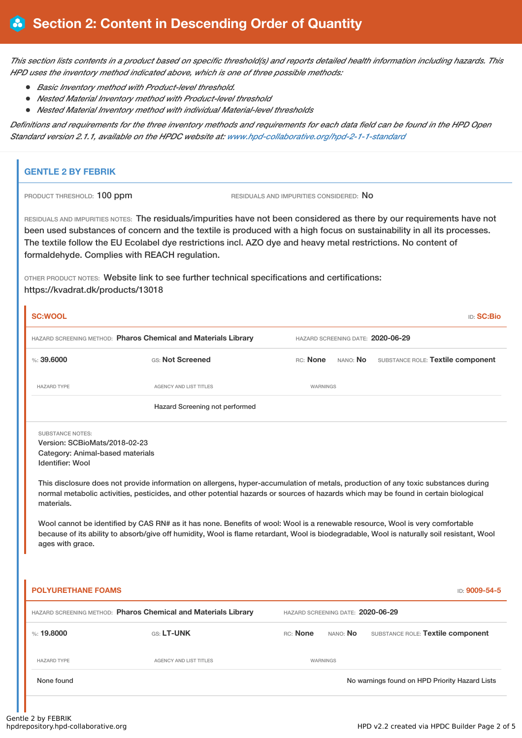This section lists contents in a product based on specific threshold(s) and reports detailed health information including hazards. This *HPD uses the inventory method indicated above, which is one of three possible methods:*

- *Basic Inventory method with Product-level threshold.*
- *Nested Material Inventory method with Product-level threshold*
- *Nested Material Inventory method with individual Material-level thresholds*

Definitions and requirements for the three inventory methods and requirements for each data field can be found in the HPD Open *Standard version 2.1.1, available on the HPDC website at: [www.hpd-collaborative.org/hpd-2-1-1-standard](https://www.hpd-collaborative.org/hpd-2-1-1-standard)*

### **GENTLE 2 BY FEBRIK**

PRODUCT THRESHOLD: 100 ppm RESIDUALS AND IMPURITIES CONSIDERED: No

RESIDUALS AND IMPURITIES NOTES: The residuals/impurities have not been considered as there by our requirements have not been used substances of concern and the textile is produced with a high focus on sustainability in all its processes. The textile follow the EU Ecolabel dye restrictions incl. AZO dye and heavy metal restrictions. No content of formaldehyde. Complies with REACH regulation.

OTHER PRODUCT NOTES: Website link to see further technical specifications and certifications: https://kvadrat.dk/products/13018

| <b>SC:WOOL</b>                                                                                                                                                                                                                                                                                                                                                                                                                                                                                                                                                                                                                                                                                                 |                                                                |                                                                  | <b>ID: SC:Bio</b> |  |  |  |
|----------------------------------------------------------------------------------------------------------------------------------------------------------------------------------------------------------------------------------------------------------------------------------------------------------------------------------------------------------------------------------------------------------------------------------------------------------------------------------------------------------------------------------------------------------------------------------------------------------------------------------------------------------------------------------------------------------------|----------------------------------------------------------------|------------------------------------------------------------------|-------------------|--|--|--|
| HAZARD SCREENING METHOD: Pharos Chemical and Materials Library                                                                                                                                                                                                                                                                                                                                                                                                                                                                                                                                                                                                                                                 |                                                                | HAZARD SCREENING DATE: 2020-06-29                                |                   |  |  |  |
| % : 39.6000                                                                                                                                                                                                                                                                                                                                                                                                                                                                                                                                                                                                                                                                                                    | GS: Not Screened                                               | RC: None<br>SUBSTANCE ROLE: Textile component<br>NANO: No        |                   |  |  |  |
| <b>HAZARD TYPE</b>                                                                                                                                                                                                                                                                                                                                                                                                                                                                                                                                                                                                                                                                                             | <b>AGENCY AND LIST TITLES</b>                                  | <b>WARNINGS</b>                                                  |                   |  |  |  |
|                                                                                                                                                                                                                                                                                                                                                                                                                                                                                                                                                                                                                                                                                                                | Hazard Screening not performed                                 |                                                                  |                   |  |  |  |
| <b>SUBSTANCE NOTES:</b><br>Version: SCBioMats/2018-02-23<br>Category: Animal-based materials<br>Identifier: Wool<br>This disclosure does not provide information on allergens, hyper-accumulation of metals, production of any toxic substances during<br>normal metabolic activities, pesticides, and other potential hazards or sources of hazards which may be found in certain biological<br>materials.<br>Wool cannot be identified by CAS RN# as it has none. Benefits of wool: Wool is a renewable resource, Wool is very comfortable<br>because of its ability to absorb/give off humidity, Wool is flame retardant, Wool is biodegradable, Wool is naturally soil resistant, Wool<br>ages with grace. |                                                                |                                                                  |                   |  |  |  |
| <b>POLYURETHANE FOAMS</b>                                                                                                                                                                                                                                                                                                                                                                                                                                                                                                                                                                                                                                                                                      |                                                                |                                                                  | ID: 9009-54-5     |  |  |  |
|                                                                                                                                                                                                                                                                                                                                                                                                                                                                                                                                                                                                                                                                                                                | HAZARD SCREENING METHOD: Pharos Chemical and Materials Library | HAZARD SCREENING DATE: 2020-06-29                                |                   |  |  |  |
| %: 19,8000                                                                                                                                                                                                                                                                                                                                                                                                                                                                                                                                                                                                                                                                                                     | GS: LT-UNK                                                     | RC: None<br>SUBSTANCE ROLE: Textile component<br>NANO: <b>No</b> |                   |  |  |  |
| <b>HAZARD TYPE</b>                                                                                                                                                                                                                                                                                                                                                                                                                                                                                                                                                                                                                                                                                             | <b>AGENCY AND LIST TITLES</b>                                  | WARNINGS                                                         |                   |  |  |  |
| None found                                                                                                                                                                                                                                                                                                                                                                                                                                                                                                                                                                                                                                                                                                     |                                                                | No warnings found on HPD Priority Hazard Lists                   |                   |  |  |  |
|                                                                                                                                                                                                                                                                                                                                                                                                                                                                                                                                                                                                                                                                                                                |                                                                |                                                                  |                   |  |  |  |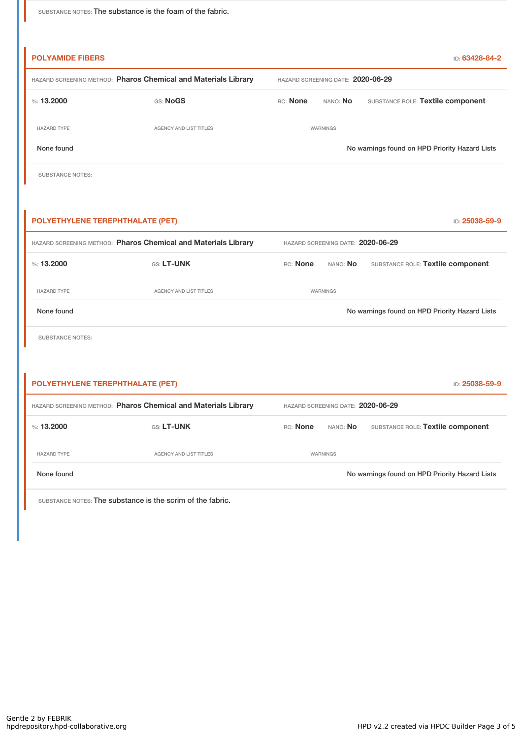SUBSTANCE NOTES: The substance is the foam of the fabric.

| <b>POLYAMIDE FIBERS</b>                                        |                                                                |                                   |                                   | ID: 63428-84-2                                 |
|----------------------------------------------------------------|----------------------------------------------------------------|-----------------------------------|-----------------------------------|------------------------------------------------|
| HAZARD SCREENING METHOD: Pharos Chemical and Materials Library |                                                                | HAZARD SCREENING DATE: 2020-06-29 |                                   |                                                |
| %: $13.2000$                                                   | GS: NoGS                                                       | RC: None                          | NANO: No                          | SUBSTANCE ROLE: Textile component              |
| <b>HAZARD TYPE</b>                                             | AGENCY AND LIST TITLES                                         |                                   | WARNINGS                          |                                                |
| None found                                                     |                                                                |                                   |                                   | No warnings found on HPD Priority Hazard Lists |
| <b>SUBSTANCE NOTES:</b>                                        |                                                                |                                   |                                   |                                                |
|                                                                |                                                                |                                   |                                   |                                                |
| POLYETHYLENE TEREPHTHALATE (PET)                               |                                                                |                                   |                                   | ID: 25038-59-9                                 |
|                                                                | HAZARD SCREENING METHOD: Pharos Chemical and Materials Library |                                   | HAZARD SCREENING DATE: 2020-06-29 |                                                |
| $\%: 13.2000$                                                  | GS: LT-UNK                                                     | RC: None                          | NANO: No                          | SUBSTANCE ROLE: Textile component              |
| HAZARD TYPE                                                    | AGENCY AND LIST TITLES                                         |                                   | WARNINGS                          |                                                |
| None found                                                     |                                                                |                                   |                                   | No warnings found on HPD Priority Hazard Lists |
| <b>SUBSTANCE NOTES:</b>                                        |                                                                |                                   |                                   |                                                |
|                                                                |                                                                |                                   |                                   |                                                |
| POLYETHYLENE TEREPHTHALATE (PET)                               |                                                                |                                   |                                   | ID: 25038-59-9                                 |
| HAZARD SCREENING METHOD: Pharos Chemical and Materials Library |                                                                |                                   | HAZARD SCREENING DATE: 2020-06-29 |                                                |
| %: 13.2000                                                     | GS: LT-UNK                                                     | RC: None                          | NANO: No                          | SUBSTANCE ROLE: Textile component              |
| <b>HAZARD TYPE</b>                                             | AGENCY AND LIST TITLES                                         |                                   | WARNINGS                          |                                                |

None found Nowarnings found on HPD Priority Hazard Lists

SUBSTANCE NOTES: The substance is the scrim of the fabric.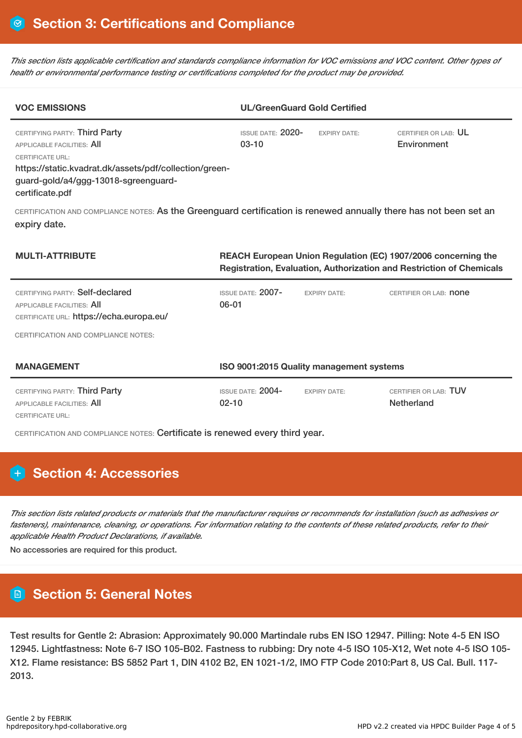This section lists applicable certification and standards compliance information for VOC emissions and VOC content. Other types of *health or environmental performance testing or certifications completed for the product may be provided.*

| <b>VOC EMISSIONS</b>                                                                                                                                                                                        |                                                                                                                                              | <b>UL/GreenGuard Gold Certified</b> |                                     |  |  |
|-------------------------------------------------------------------------------------------------------------------------------------------------------------------------------------------------------------|----------------------------------------------------------------------------------------------------------------------------------------------|-------------------------------------|-------------------------------------|--|--|
| CERTIFYING PARTY: Third Party<br>APPLICABLE FACILITIES: AII<br><b>CERTIFICATE URL:</b><br>https://static.kvadrat.dk/assets/pdf/collection/green-<br>guard-gold/a4/ggg-13018-sgreenguard-<br>certificate.pdf | ISSUE DATE: $2020-$<br>$03-10$                                                                                                               | <b>FXPIRY DATE:</b>                 | CERTIFIER OR LAB: UL<br>Environment |  |  |
| CERTIFICATION AND COMPLIANCE NOTES: As the Greenguard certification is renewed annually there has not been set an<br>expiry date.                                                                           |                                                                                                                                              |                                     |                                     |  |  |
| <b>MULTI-ATTRIBUTE</b>                                                                                                                                                                                      | REACH European Union Regulation (EC) 1907/2006 concerning the<br><b>Registration, Evaluation, Authorization and Restriction of Chemicals</b> |                                     |                                     |  |  |
| CERTIFYING PARTY: Self-declared<br><b>APPLICABLE FACILITIES: AII</b><br>CERTIFICATE URL: https://echa.europa.eu/                                                                                            | <b>ISSUE DATE: 2007-</b><br>$06 - 01$                                                                                                        | <b>EXPIRY DATE:</b>                 | CERTIFIER OR LAB: <b>none</b>       |  |  |

CERTIFICATION AND COMPLIANCE NOTES:

| <b>MANAGEMENT</b>                                           | ISO 9001:2015 Quality management systems |                     |                                     |  |
|-------------------------------------------------------------|------------------------------------------|---------------------|-------------------------------------|--|
| CERTIFYING PARTY: Third Party<br>APPLICABLE FACILITIES: AII | ISSUE DATE: $2004$ -<br>$02 - 10$        | <b>EXPIRY DATE:</b> | CERTIFIER OR LAB: TUV<br>Netherland |  |
| CERTIFICATE URL:                                            |                                          |                     |                                     |  |

CERTIFICATION AND COMPLIANCE NOTES: Certificate is renewed every third year.

## **H** Section 4: Accessories

This section lists related products or materials that the manufacturer requires or recommends for installation (such as adhesives or fasteners), maintenance, cleaning, or operations. For information relating to the contents of these related products, refer to their *applicable Health Product Declarations, if available.*

No accessories are required for this product.

## **Section 5: General Notes**

Test results for Gentle 2: Abrasion: Approximately 90.000 Martindale rubs EN ISO 12947. Pilling: Note 4-5 EN ISO 12945. Lightfastness: Note 6-7 ISO 105-B02. Fastness to rubbing: Dry note 4-5 ISO 105-X12, Wet note 4-5 ISO 105- X12. Flame resistance: BS 5852 Part 1, DIN 4102 B2, EN 1021-1/2, IMO FTP Code 2010:Part 8, US Cal. Bull. 117- 2013.